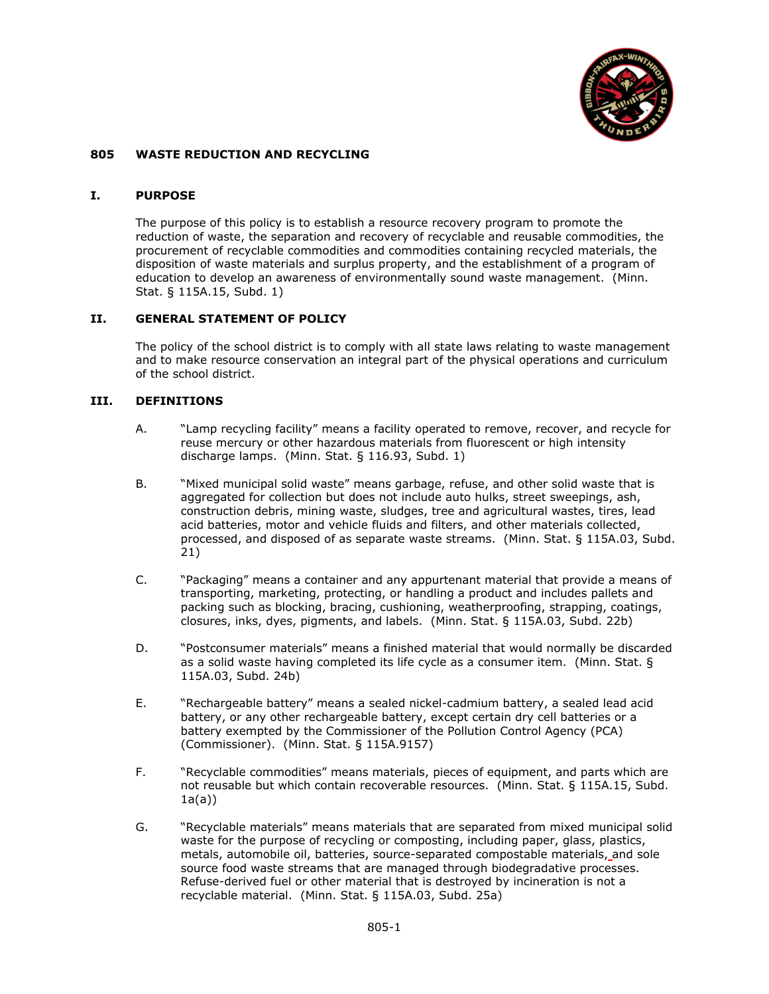

### **805 WASTE REDUCTION AND RECYCLING**

#### **I. PURPOSE**

The purpose of this policy is to establish a resource recovery program to promote the reduction of waste, the separation and recovery of recyclable and reusable commodities, the procurement of recyclable commodities and commodities containing recycled materials, the disposition of waste materials and surplus property, and the establishment of a program of education to develop an awareness of environmentally sound waste management. (Minn. Stat. § 115A.15, Subd. 1)

### **II. GENERAL STATEMENT OF POLICY**

The policy of the school district is to comply with all state laws relating to waste management and to make resource conservation an integral part of the physical operations and curriculum of the school district.

### **III. DEFINITIONS**

- A. "Lamp recycling facility" means a facility operated to remove, recover, and recycle for reuse mercury or other hazardous materials from fluorescent or high intensity discharge lamps. (Minn. Stat. § 116.93, Subd. 1)
- B. "Mixed municipal solid waste" means garbage, refuse, and other solid waste that is aggregated for collection but does not include auto hulks, street sweepings, ash, construction debris, mining waste, sludges, tree and agricultural wastes, tires, lead acid batteries, motor and vehicle fluids and filters, and other materials collected, processed, and disposed of as separate waste streams. (Minn. Stat. § 115A.03, Subd. 21)
- C. "Packaging" means a container and any appurtenant material that provide a means of transporting, marketing, protecting, or handling a product and includes pallets and packing such as blocking, bracing, cushioning, weatherproofing, strapping, coatings, closures, inks, dyes, pigments, and labels. (Minn. Stat. § 115A.03, Subd. 22b)
- D. "Postconsumer materials" means a finished material that would normally be discarded as a solid waste having completed its life cycle as a consumer item. (Minn. Stat. § 115A.03, Subd. 24b)
- E. "Rechargeable battery" means a sealed nickel-cadmium battery, a sealed lead acid battery, or any other rechargeable battery, except certain dry cell batteries or a battery exempted by the Commissioner of the Pollution Control Agency (PCA) (Commissioner). (Minn. Stat. § 115A.9157)
- F. "Recyclable commodities" means materials, pieces of equipment, and parts which are not reusable but which contain recoverable resources. (Minn. Stat. § 115A.15, Subd.  $1a(a)$
- G. "Recyclable materials" means materials that are separated from mixed municipal solid waste for the purpose of recycling or composting, including paper, glass, plastics, metals, automobile oil, batteries, source-separated compostable materials, and sole source food waste streams that are managed through biodegradative processes. Refuse-derived fuel or other material that is destroyed by incineration is not a recyclable material. (Minn. Stat. § 115A.03, Subd. 25a)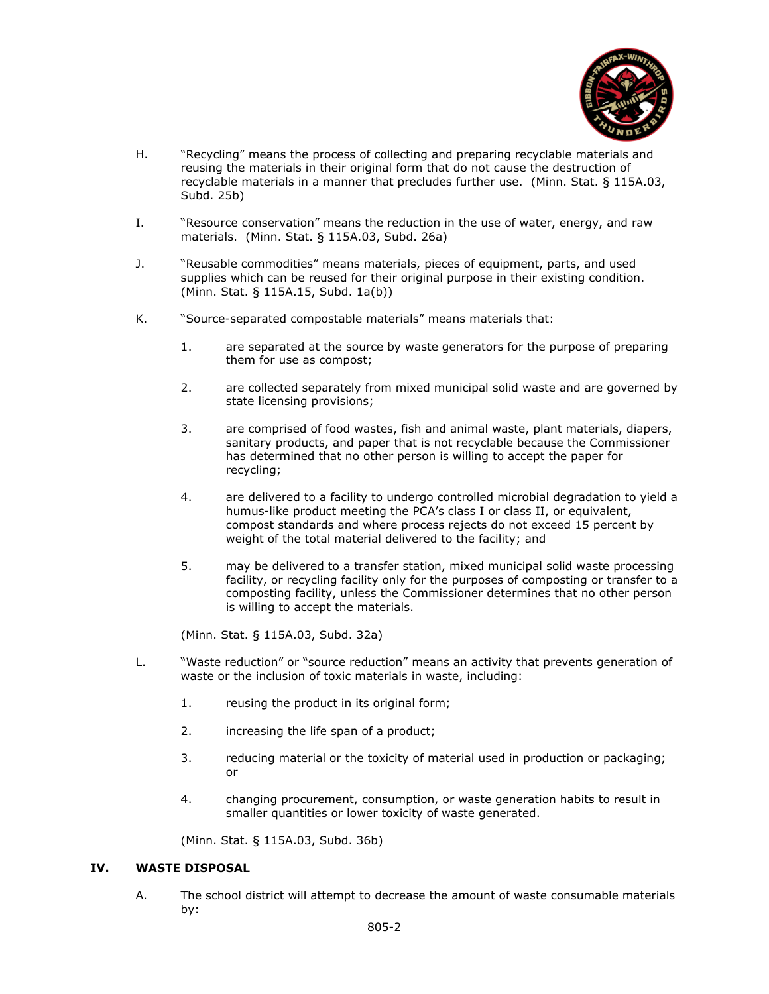

- H. "Recycling" means the process of collecting and preparing recyclable materials and reusing the materials in their original form that do not cause the destruction of recyclable materials in a manner that precludes further use. (Minn. Stat. § 115A.03, Subd. 25b)
- I. "Resource conservation" means the reduction in the use of water, energy, and raw materials. (Minn. Stat. § 115A.03, Subd. 26a)
- J. "Reusable commodities" means materials, pieces of equipment, parts, and used supplies which can be reused for their original purpose in their existing condition. (Minn. Stat. § 115A.15, Subd. 1a(b))
- K. "Source-separated compostable materials" means materials that:
	- 1. are separated at the source by waste generators for the purpose of preparing them for use as compost;
	- 2. are collected separately from mixed municipal solid waste and are governed by state licensing provisions;
	- 3. are comprised of food wastes, fish and animal waste, plant materials, diapers, sanitary products, and paper that is not recyclable because the Commissioner has determined that no other person is willing to accept the paper for recycling;
	- 4. are delivered to a facility to undergo controlled microbial degradation to yield a humus-like product meeting the PCA's class I or class II, or equivalent, compost standards and where process rejects do not exceed 15 percent by weight of the total material delivered to the facility; and
	- 5. may be delivered to a transfer station, mixed municipal solid waste processing facility, or recycling facility only for the purposes of composting or transfer to a composting facility, unless the Commissioner determines that no other person is willing to accept the materials.

(Minn. Stat. § 115A.03, Subd. 32a)

- L. "Waste reduction" or "source reduction" means an activity that prevents generation of waste or the inclusion of toxic materials in waste, including:
	- 1. reusing the product in its original form;
	- 2. increasing the life span of a product;
	- 3. reducing material or the toxicity of material used in production or packaging; or
	- 4. changing procurement, consumption, or waste generation habits to result in smaller quantities or lower toxicity of waste generated.

(Minn. Stat. § 115A.03, Subd. 36b)

## **IV. WASTE DISPOSAL**

A. The school district will attempt to decrease the amount of waste consumable materials by: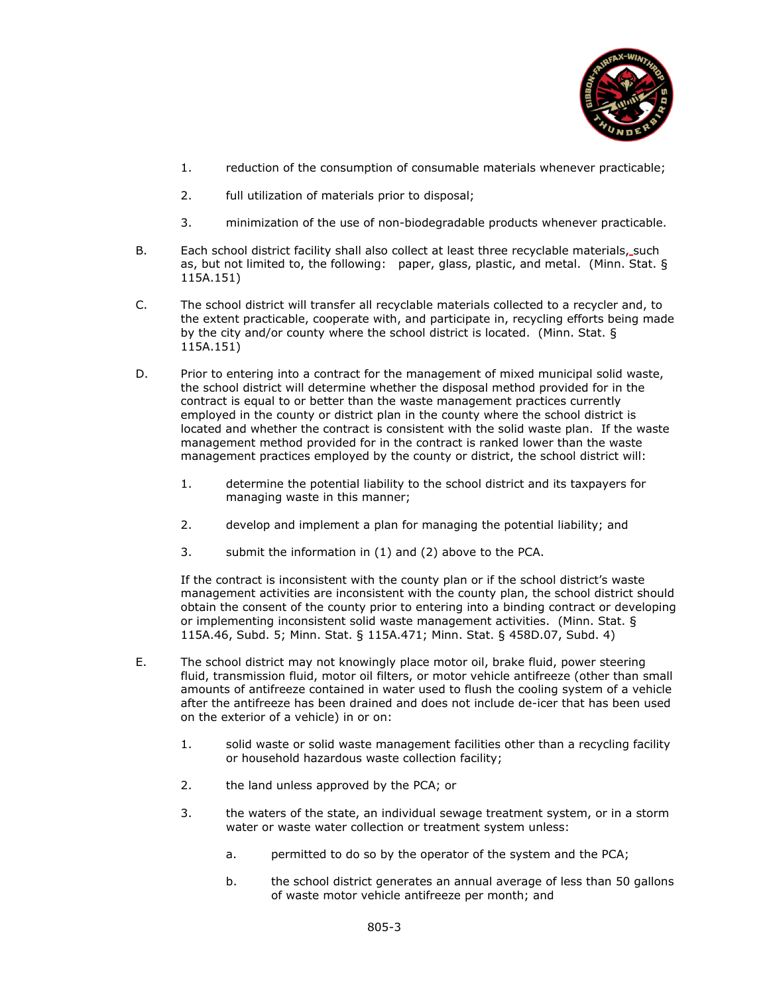

- 1. reduction of the consumption of consumable materials whenever practicable;
- 2. full utilization of materials prior to disposal;
- 3. minimization of the use of non-biodegradable products whenever practicable.
- B. Each school district facility shall also collect at least three recyclable materials, such as, but not limited to, the following: paper, glass, plastic, and metal. (Minn. Stat. § 115A.151)
- C. The school district will transfer all recyclable materials collected to a recycler and, to the extent practicable, cooperate with, and participate in, recycling efforts being made by the city and/or county where the school district is located. (Minn. Stat. § 115A.151)
- D. Prior to entering into a contract for the management of mixed municipal solid waste, the school district will determine whether the disposal method provided for in the contract is equal to or better than the waste management practices currently employed in the county or district plan in the county where the school district is located and whether the contract is consistent with the solid waste plan. If the waste management method provided for in the contract is ranked lower than the waste management practices employed by the county or district, the school district will:
	- 1. determine the potential liability to the school district and its taxpayers for managing waste in this manner;
	- 2. develop and implement a plan for managing the potential liability; and
	- 3. submit the information in (1) and (2) above to the PCA.

If the contract is inconsistent with the county plan or if the school district's waste management activities are inconsistent with the county plan, the school district should obtain the consent of the county prior to entering into a binding contract or developing or implementing inconsistent solid waste management activities. (Minn. Stat. § 115A.46, Subd. 5; Minn. Stat. § 115A.471; Minn. Stat. § 458D.07, Subd. 4)

- E. The school district may not knowingly place motor oil, brake fluid, power steering fluid, transmission fluid, motor oil filters, or motor vehicle antifreeze (other than small amounts of antifreeze contained in water used to flush the cooling system of a vehicle after the antifreeze has been drained and does not include de-icer that has been used on the exterior of a vehicle) in or on:
	- 1. solid waste or solid waste management facilities other than a recycling facility or household hazardous waste collection facility;
	- 2. the land unless approved by the PCA; or
	- 3. the waters of the state, an individual sewage treatment system, or in a storm water or waste water collection or treatment system unless:
		- a. permitted to do so by the operator of the system and the PCA;
		- b. the school district generates an annual average of less than 50 gallons of waste motor vehicle antifreeze per month; and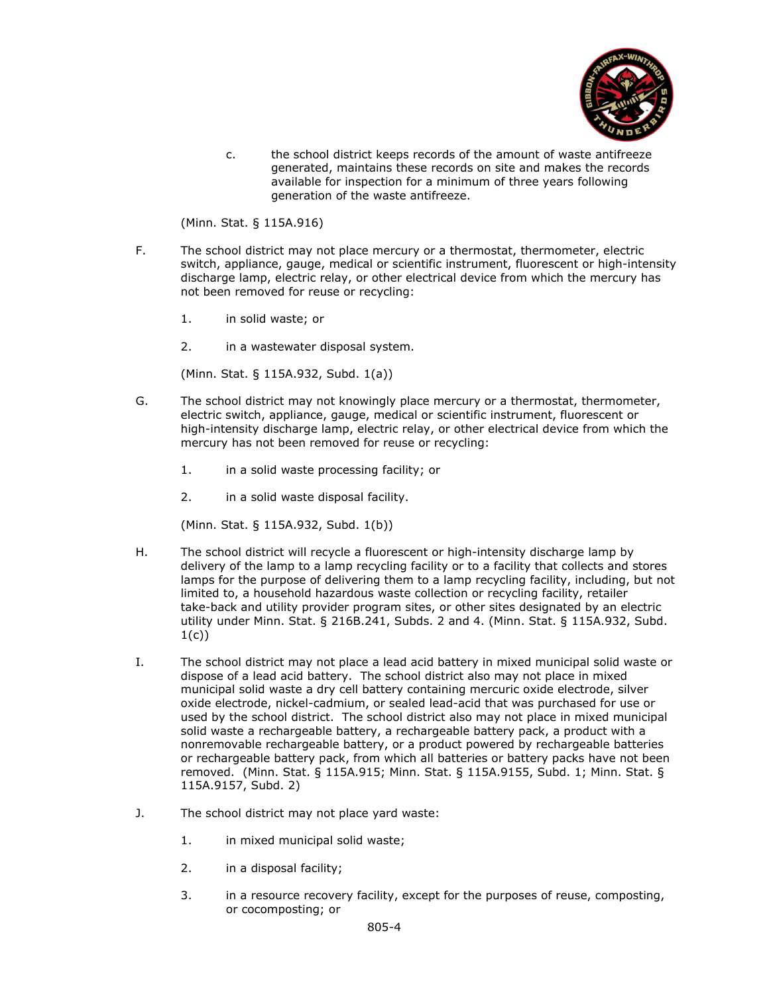

c. the school district keeps records of the amount of waste antifreeze generated, maintains these records on site and makes the records available for inspection for a minimum of three years following generation of the waste antifreeze.

(Minn. Stat. § 115A.916)

- F. The school district may not place mercury or a thermostat, thermometer, electric switch, appliance, gauge, medical or scientific instrument, fluorescent or high-intensity discharge lamp, electric relay, or other electrical device from which the mercury has not been removed for reuse or recycling:
	- 1. in solid waste; or
	- 2. in a wastewater disposal system.

(Minn. Stat. § 115A.932, Subd. 1(a))

- G. The school district may not knowingly place mercury or a thermostat, thermometer, electric switch, appliance, gauge, medical or scientific instrument, fluorescent or high-intensity discharge lamp, electric relay, or other electrical device from which the mercury has not been removed for reuse or recycling:
	- 1. in a solid waste processing facility; or
	- 2. in a solid waste disposal facility.

(Minn. Stat. § 115A.932, Subd. 1(b))

- H. The school district will recycle a fluorescent or high-intensity discharge lamp by delivery of the lamp to a lamp recycling facility or to a facility that collects and stores lamps for the purpose of delivering them to a lamp recycling facility, including, but not limited to, a household hazardous waste collection or recycling facility, retailer take-back and utility provider program sites, or other sites designated by an electric utility under Minn. Stat. § 216B.241, Subds. 2 and 4. (Minn. Stat. § 115A.932, Subd. 1(c))
- I. The school district may not place a lead acid battery in mixed municipal solid waste or dispose of a lead acid battery. The school district also may not place in mixed municipal solid waste a dry cell battery containing mercuric oxide electrode, silver oxide electrode, nickel-cadmium, or sealed lead-acid that was purchased for use or used by the school district. The school district also may not place in mixed municipal solid waste a rechargeable battery, a rechargeable battery pack, a product with a nonremovable rechargeable battery, or a product powered by rechargeable batteries or rechargeable battery pack, from which all batteries or battery packs have not been removed. (Minn. Stat. § 115A.915; Minn. Stat. § 115A.9155, Subd. 1; Minn. Stat. § 115A.9157, Subd. 2)
- J. The school district may not place yard waste:
	- 1. in mixed municipal solid waste;
	- 2. in a disposal facility;
	- 3. in a resource recovery facility, except for the purposes of reuse, composting, or cocomposting; or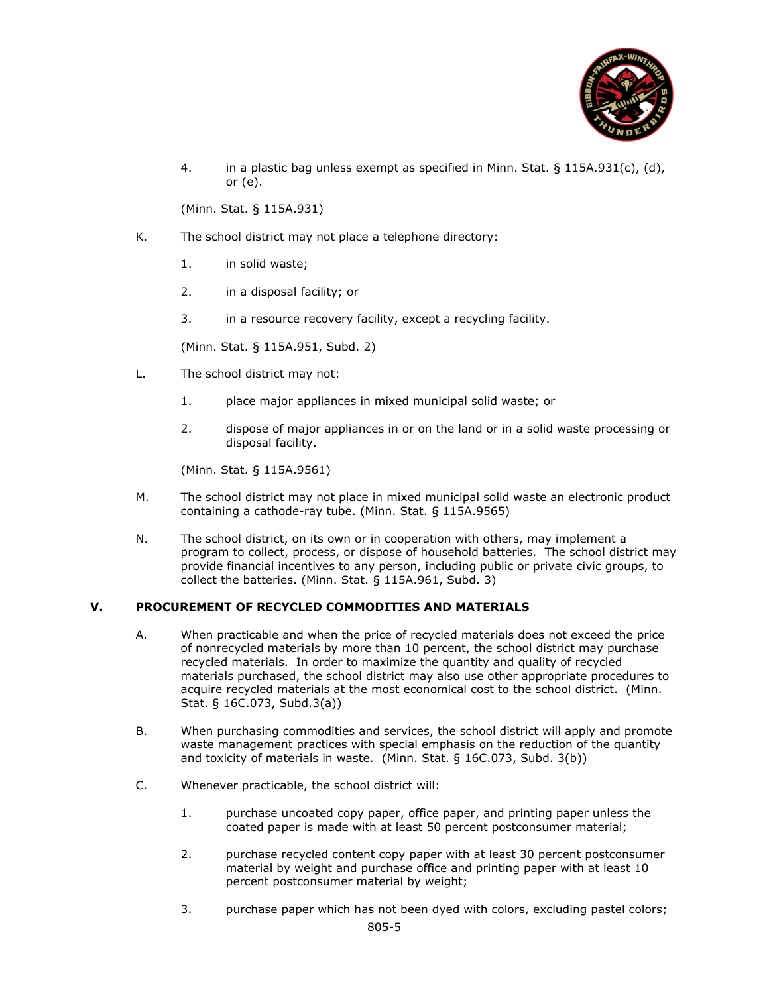

4. in a plastic bag unless exempt as specified in Minn. Stat. § 115A.931(c), (d), or (e).

(Minn. Stat. § 115A.931)

- K. The school district may not place a telephone directory:
	- 1. in solid waste;
	- 2. in a disposal facility; or
	- 3. in a resource recovery facility, except a recycling facility.

(Minn. Stat. § 115A.951, Subd. 2)

- L. The school district may not:
	- 1. place major appliances in mixed municipal solid waste; or
	- 2. dispose of major appliances in or on the land or in a solid waste processing or disposal facility.

(Minn. Stat. § 115A.9561)

- M. The school district may not place in mixed municipal solid waste an electronic product containing a cathode-ray tube. (Minn. Stat. § 115A.9565)
- N. The school district, on its own or in cooperation with others, may implement a program to collect, process, or dispose of household batteries. The school district may provide financial incentives to any person, including public or private civic groups, to collect the batteries. (Minn. Stat. § 115A.961, Subd. 3)

# **V. PROCUREMENT OF RECYCLED COMMODITIES AND MATERIALS**

- A. When practicable and when the price of recycled materials does not exceed the price of nonrecycled materials by more than 10 percent, the school district may purchase recycled materials. In order to maximize the quantity and quality of recycled materials purchased, the school district may also use other appropriate procedures to acquire recycled materials at the most economical cost to the school district. (Minn. Stat. § 16C.073, Subd.3(a))
- B. When purchasing commodities and services, the school district will apply and promote waste management practices with special emphasis on the reduction of the quantity and toxicity of materials in waste. (Minn. Stat. § 16C.073, Subd. 3(b))
- C. Whenever practicable, the school district will:
	- 1. purchase uncoated copy paper, office paper, and printing paper unless the coated paper is made with at least 50 percent postconsumer material;
	- 2. purchase recycled content copy paper with at least 30 percent postconsumer material by weight and purchase office and printing paper with at least 10 percent postconsumer material by weight;
	- 3. purchase paper which has not been dyed with colors, excluding pastel colors;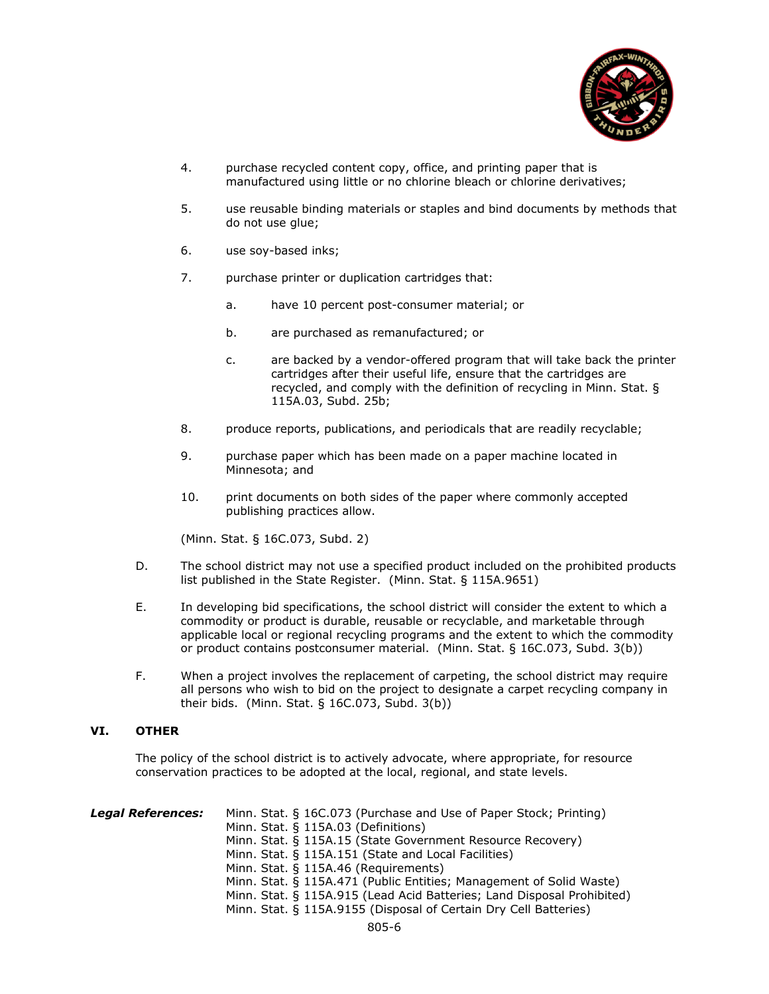

- 4. purchase recycled content copy, office, and printing paper that is manufactured using little or no chlorine bleach or chlorine derivatives;
- 5. use reusable binding materials or staples and bind documents by methods that do not use glue;
- 6. use soy-based inks;
- 7. purchase printer or duplication cartridges that:
	- a. have 10 percent post-consumer material; or
	- b. are purchased as remanufactured; or
	- c. are backed by a vendor-offered program that will take back the printer cartridges after their useful life, ensure that the cartridges are recycled, and comply with the definition of recycling in Minn. Stat. § 115A.03, Subd. 25b;
- 8. produce reports, publications, and periodicals that are readily recyclable;
- 9. purchase paper which has been made on a paper machine located in Minnesota; and
- 10. print documents on both sides of the paper where commonly accepted publishing practices allow.

(Minn. Stat. § 16C.073, Subd. 2)

- D. The school district may not use a specified product included on the prohibited products list published in the State Register. (Minn. Stat. § 115A.9651)
- E. In developing bid specifications, the school district will consider the extent to which a commodity or product is durable, reusable or recyclable, and marketable through applicable local or regional recycling programs and the extent to which the commodity or product contains postconsumer material. (Minn. Stat. § 16C.073, Subd. 3(b))
- F. When a project involves the replacement of carpeting, the school district may require all persons who wish to bid on the project to designate a carpet recycling company in their bids. (Minn. Stat. § 16C.073, Subd. 3(b))

## **VI. OTHER**

The policy of the school district is to actively advocate, where appropriate, for resource conservation practices to be adopted at the local, regional, and state levels.

| <b>Legal References:</b> | Minn. Stat. § 16C.073 (Purchase and Use of Paper Stock; Printing)<br>Minn. Stat. § 115A.03 (Definitions) |
|--------------------------|----------------------------------------------------------------------------------------------------------|
|                          | Minn. Stat. § 115A.15 (State Government Resource Recovery)                                               |
|                          | Minn. Stat. § 115A.151 (State and Local Facilities)                                                      |
|                          | Minn. Stat. § 115A.46 (Requirements)                                                                     |
|                          | Minn. Stat. § 115A.471 (Public Entities; Management of Solid Waste)                                      |
|                          | Minn. Stat. § 115A.915 (Lead Acid Batteries; Land Disposal Prohibited)                                   |
|                          | Minn. Stat. § 115A.9155 (Disposal of Certain Dry Cell Batteries)                                         |